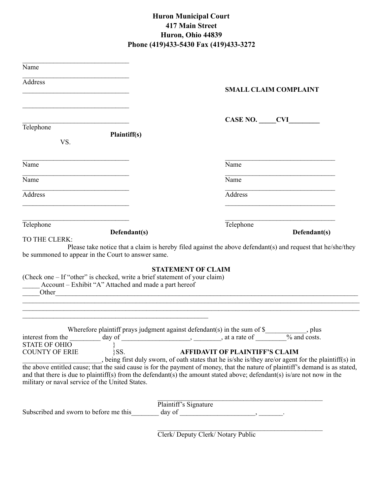## **Huron Municipal Court 417 Main Street Huron, Ohio 44839 Phone (419)433-5430 Fax (419)433-3272**

| Name                                                                                                                                                                                               |                                                                                                                                                                                                                                                                                                                                                                                                                                                                                                                                                                                                                                                                                                                                                                                                                                                                             |
|----------------------------------------------------------------------------------------------------------------------------------------------------------------------------------------------------|-----------------------------------------------------------------------------------------------------------------------------------------------------------------------------------------------------------------------------------------------------------------------------------------------------------------------------------------------------------------------------------------------------------------------------------------------------------------------------------------------------------------------------------------------------------------------------------------------------------------------------------------------------------------------------------------------------------------------------------------------------------------------------------------------------------------------------------------------------------------------------|
| Address                                                                                                                                                                                            | <b>SMALL CLAIM COMPLAINT</b>                                                                                                                                                                                                                                                                                                                                                                                                                                                                                                                                                                                                                                                                                                                                                                                                                                                |
|                                                                                                                                                                                                    |                                                                                                                                                                                                                                                                                                                                                                                                                                                                                                                                                                                                                                                                                                                                                                                                                                                                             |
|                                                                                                                                                                                                    |                                                                                                                                                                                                                                                                                                                                                                                                                                                                                                                                                                                                                                                                                                                                                                                                                                                                             |
| Telephone                                                                                                                                                                                          | CASE NO. CVI                                                                                                                                                                                                                                                                                                                                                                                                                                                                                                                                                                                                                                                                                                                                                                                                                                                                |
| Plaintiff(s)<br>VS.                                                                                                                                                                                |                                                                                                                                                                                                                                                                                                                                                                                                                                                                                                                                                                                                                                                                                                                                                                                                                                                                             |
| $\overline{\text{Name}}$                                                                                                                                                                           | Name                                                                                                                                                                                                                                                                                                                                                                                                                                                                                                                                                                                                                                                                                                                                                                                                                                                                        |
| Name                                                                                                                                                                                               | Name                                                                                                                                                                                                                                                                                                                                                                                                                                                                                                                                                                                                                                                                                                                                                                                                                                                                        |
| <b>Address</b>                                                                                                                                                                                     | Address                                                                                                                                                                                                                                                                                                                                                                                                                                                                                                                                                                                                                                                                                                                                                                                                                                                                     |
| Telephone<br>Defendant(s)                                                                                                                                                                          | Telephone<br>Defendant(s)                                                                                                                                                                                                                                                                                                                                                                                                                                                                                                                                                                                                                                                                                                                                                                                                                                                   |
| be summoned to appear in the Court to answer same.<br>(Check one – If "other" is checked, write a brief statement of your claim)<br>Account – Exhibit "A" Attached and made a part hereof<br>Other | Please take notice that a claim is hereby filed against the above defendant(s) and request that he/she/they<br><b>STATEMENT OF CLAIM</b><br><u> 1980 - Jan James James Barnett, martin de filosofoar (h. 1980).</u>                                                                                                                                                                                                                                                                                                                                                                                                                                                                                                                                                                                                                                                         |
| <b>STATE OF OHIO</b><br>}SS.<br><b>COUNTY OF ERIE</b><br>military or naval service of the United States.                                                                                           | Wherefore plaintiff prays judgment against defendant(s) in the sum of $\$$<br>$\Box$ , plus<br>interest from the $\frac{1}{\cos \theta}$ day of $\frac{1}{\cos \theta}$ and $\frac{1}{\cos \theta}$ and $\frac{1}{\cos \theta}$ and $\frac{1}{\cos \theta}$ and $\frac{1}{\cos \theta}$ and $\frac{1}{\cos \theta}$ and $\frac{1}{\cos \theta}$ and $\frac{1}{\cos \theta}$ and $\frac{1}{\cos \theta}$ and $\frac{1}{\cos \theta}$ and $\frac{1}{\cos \theta}$<br><b>AFFIDAVIT OF PLAINTIFF'S CLAIM</b><br>being first duly sworn, of oath states that he is/she is/they are/or agent for the plaintiff(s) in<br>the above entitled cause; that the said cause is for the payment of money, that the nature of plaintiff's demand is as stated,<br>and that there is due to plaintiff(s) from the defendant(s) the amount stated above; defendant(s) is/are not now in the |
| Subscribed and sworn to before me this                                                                                                                                                             | Plaintiff's Signature<br>$day of \_$                                                                                                                                                                                                                                                                                                                                                                                                                                                                                                                                                                                                                                                                                                                                                                                                                                        |

Clerk/ Deputy Clerk/ Notary Public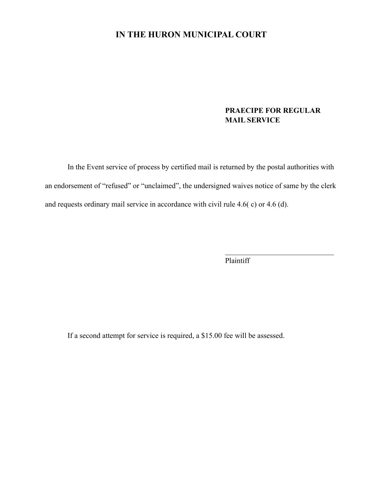## **IN THE HURON MUNICIPAL COURT**

## **PRAECIPE FOR REGULAR MAIL SERVICE**

 In the Event service of process by certified mail is returned by the postal authorities with an endorsement of "refused" or "unclaimed", the undersigned waives notice of same by the clerk and requests ordinary mail service in accordance with civil rule 4.6( c) or 4.6 (d).

Plaintiff

If a second attempt for service is required, a \$15.00 fee will be assessed.

 $\mathcal{L}_\text{max}$  and  $\mathcal{L}_\text{max}$  and  $\mathcal{L}_\text{max}$  and  $\mathcal{L}_\text{max}$  and  $\mathcal{L}_\text{max}$